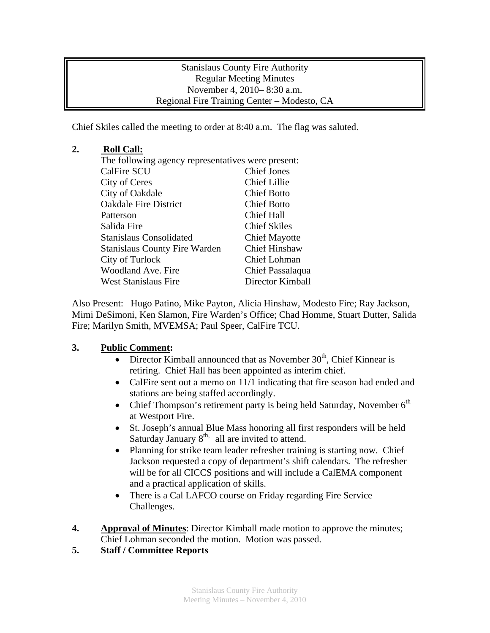Stanislaus County Fire Authority Regular Meeting Minutes November 4, 2010– 8:30 a.m. Regional Fire Training Center – Modesto, CA

Chief Skiles called the meeting to order at 8:40 a.m. The flag was saluted.

## **2. Roll Call:**

| The following agency representatives were present: |                      |
|----------------------------------------------------|----------------------|
| <b>CalFire SCU</b>                                 | <b>Chief Jones</b>   |
| City of Ceres                                      | Chief Lillie         |
| City of Oakdale                                    | <b>Chief Botto</b>   |
| <b>Oakdale Fire District</b>                       | <b>Chief Botto</b>   |
| Patterson                                          | <b>Chief Hall</b>    |
| Salida Fire                                        | <b>Chief Skiles</b>  |
| <b>Stanislaus Consolidated</b>                     | <b>Chief Mayotte</b> |
| <b>Stanislaus County Fire Warden</b>               | <b>Chief Hinshaw</b> |
| City of Turlock                                    | Chief Lohman         |
| Woodland Ave. Fire                                 | Chief Passalaqua     |
| <b>West Stanislaus Fire</b>                        | Director Kimball     |

Also Present: Hugo Patino, Mike Payton, Alicia Hinshaw, Modesto Fire; Ray Jackson, Mimi DeSimoni, Ken Slamon, Fire Warden's Office; Chad Homme, Stuart Dutter, Salida Fire; Marilyn Smith, MVEMSA; Paul Speer, CalFire TCU.

## **3. Public Comment:**

- Director Kimball announced that as November  $30<sup>th</sup>$ , Chief Kinnear is retiring. Chief Hall has been appointed as interim chief.
- CalFire sent out a memo on 11/1 indicating that fire season had ended and stations are being staffed accordingly.
- Chief Thompson's retirement party is being held Saturday, November  $6<sup>th</sup>$ at Westport Fire.
- St. Joseph's annual Blue Mass honoring all first responders will be held Saturday January  $8<sup>th</sup>$  all are invited to attend.
- Planning for strike team leader refresher training is starting now. Chief Jackson requested a copy of department's shift calendars. The refresher will be for all CICCS positions and will include a CalEMA component and a practical application of skills.
- There is a Cal LAFCO course on Friday regarding Fire Service Challenges.
- **4.** Approval of Minutes: Director Kimball made motion to approve the minutes; Chief Lohman seconded the motion. Motion was passed.
- **5. Staff / Committee Reports**